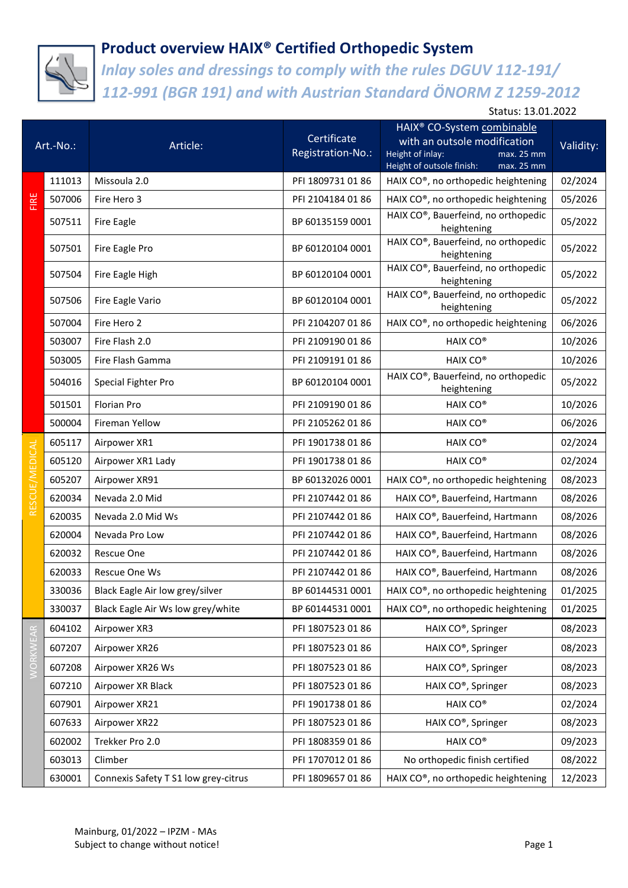

*Inlay soles and dressings to comply with the rules DGUV 112-191/ 112-991 (BGR 191) and with Austrian Standard ÖNORM Z 1259-2012*

| Art.-No.:       |        | Article:                             | Certificate<br>Registration-No.: | HAIX® CO-System combinable<br>with an outsole modification<br>Height of inlay:<br>max. 25 mm<br>Height of outsole finish:<br>max. 25 mm | Validity: |
|-----------------|--------|--------------------------------------|----------------------------------|-----------------------------------------------------------------------------------------------------------------------------------------|-----------|
| FIRE            | 111013 | Missoula 2.0                         | PFI 1809731 01 86                | HAIX CO®, no orthopedic heightening                                                                                                     | 02/2024   |
|                 | 507006 | Fire Hero 3                          | PFI 2104184 01 86                | HAIX CO®, no orthopedic heightening                                                                                                     | 05/2026   |
|                 | 507511 | Fire Eagle                           | BP 60135159 0001                 | HAIX CO®, Bauerfeind, no orthopedic<br>heightening                                                                                      | 05/2022   |
|                 | 507501 | Fire Eagle Pro                       | BP 60120104 0001                 | HAIX CO®, Bauerfeind, no orthopedic<br>heightening                                                                                      | 05/2022   |
|                 | 507504 | Fire Eagle High                      | BP 60120104 0001                 | HAIX CO®, Bauerfeind, no orthopedic<br>heightening                                                                                      | 05/2022   |
|                 | 507506 | Fire Eagle Vario                     | BP 60120104 0001                 | HAIX CO®, Bauerfeind, no orthopedic<br>heightening                                                                                      | 05/2022   |
|                 | 507004 | Fire Hero 2                          | PFI 2104207 01 86                | HAIX CO®, no orthopedic heightening                                                                                                     | 06/2026   |
|                 | 503007 | Fire Flash 2.0                       | PFI 2109190 01 86                | HAIX CO®                                                                                                                                | 10/2026   |
|                 | 503005 | Fire Flash Gamma                     | PFI 2109191 01 86                | HAIX CO <sup>®</sup>                                                                                                                    | 10/2026   |
|                 | 504016 | Special Fighter Pro                  | BP 60120104 0001                 | HAIX CO®, Bauerfeind, no orthopedic<br>heightening                                                                                      | 05/2022   |
|                 | 501501 | Florian Pro                          | PFI 2109190 01 86                | HAIX CO <sup>®</sup>                                                                                                                    | 10/2026   |
|                 | 500004 | Fireman Yellow                       | PFI 2105262 01 86                | HAIX CO <sup>®</sup>                                                                                                                    | 06/2026   |
|                 | 605117 | Airpower XR1                         | PFI 1901738 01 86                | HAIX CO®                                                                                                                                | 02/2024   |
|                 | 605120 | Airpower XR1 Lady                    | PFI 1901738 01 86                | HAIX CO <sup>®</sup>                                                                                                                    | 02/2024   |
|                 | 605207 | Airpower XR91                        | BP 60132026 0001                 | HAIX CO®, no orthopedic heightening                                                                                                     | 08/2023   |
|                 | 620034 | Nevada 2.0 Mid                       | PFI 2107442 01 86                | HAIX CO®, Bauerfeind, Hartmann                                                                                                          | 08/2026   |
|                 | 620035 | Nevada 2.0 Mid Ws                    | PFI 2107442 01 86                | HAIX CO®, Bauerfeind, Hartmann                                                                                                          | 08/2026   |
|                 | 620004 | Nevada Pro Low                       | PFI 2107442 01 86                | HAIX CO®, Bauerfeind, Hartmann                                                                                                          | 08/2026   |
|                 | 620032 | Rescue One                           | PFI 2107442 01 86                | HAIX CO®, Bauerfeind, Hartmann                                                                                                          | 08/2026   |
|                 | 620033 | Rescue One Ws                        | PFI 2107442 01 86                | HAIX CO®, Bauerfeind, Hartmann                                                                                                          | 08/2026   |
|                 | 330036 | Black Eagle Air low grey/silver      | BP 60144531 0001                 | HAIX CO®, no orthopedic heightening                                                                                                     | 01/2025   |
|                 | 330037 | Black Eagle Air Ws low grey/white    | BP 60144531 0001                 | HAIX CO®, no orthopedic heightening                                                                                                     | 01/2025   |
|                 | 604102 | Airpower XR3                         | PFI 1807523 01 86                | HAIX CO®, Springer                                                                                                                      | 08/2023   |
|                 | 607207 | Airpower XR26                        | PFI 1807523 01 86                | HAIX CO®, Springer                                                                                                                      | 08/2023   |
| <b>/ORKWEAR</b> | 607208 | Airpower XR26 Ws                     | PFI 1807523 01 86                | HAIX CO®, Springer                                                                                                                      | 08/2023   |
|                 | 607210 | Airpower XR Black                    | PFI 1807523 01 86                | HAIX CO®, Springer                                                                                                                      | 08/2023   |
|                 | 607901 | Airpower XR21                        | PFI 1901738 01 86                | HAIX CO®                                                                                                                                | 02/2024   |
|                 | 607633 | Airpower XR22                        | PFI 1807523 01 86                | HAIX CO®, Springer                                                                                                                      | 08/2023   |
|                 | 602002 | Trekker Pro 2.0                      | PFI 1808359 01 86                | HAIX CO®                                                                                                                                | 09/2023   |
|                 | 603013 | Climber                              | PFI 1707012 01 86                | No orthopedic finish certified                                                                                                          | 08/2022   |
|                 | 630001 | Connexis Safety T S1 low grey-citrus | PFI 1809657 01 86                | HAIX CO®, no orthopedic heightening                                                                                                     | 12/2023   |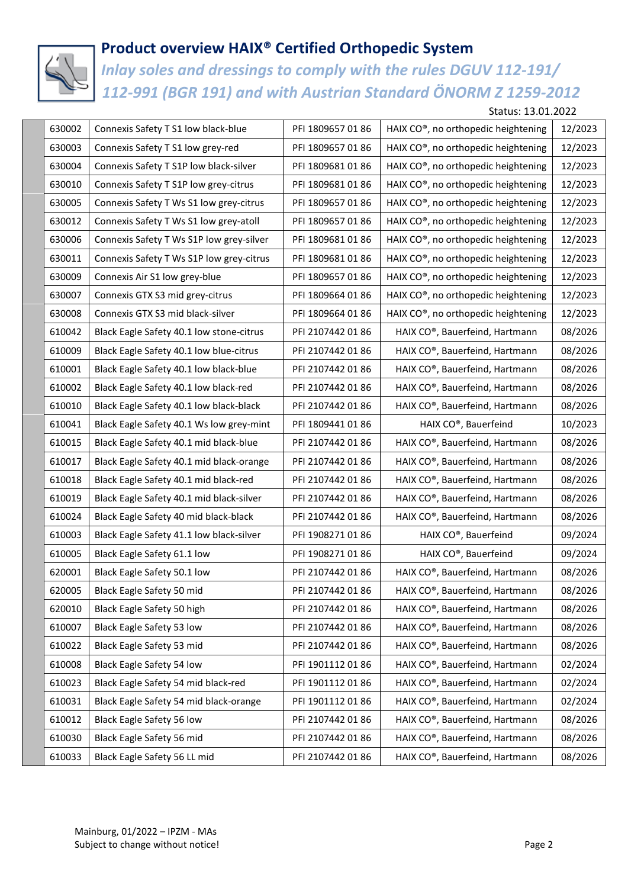

*Inlay soles and dressings to comply with the rules DGUV 112-191/ 112-991 (BGR 191) and with Austrian Standard ÖNORM Z 1259-2012*

Status: 13.01.2022

| 630002 | Connexis Safety T S1 low black-blue      | PFI 1809657 01 86 | HAIX CO®, no orthopedic heightening | 12/2023 |
|--------|------------------------------------------|-------------------|-------------------------------------|---------|
| 630003 | Connexis Safety T S1 low grey-red        | PFI 1809657 01 86 | HAIX CO®, no orthopedic heightening | 12/2023 |
| 630004 | Connexis Safety T S1P low black-silver   | PFI 1809681 01 86 | HAIX CO®, no orthopedic heightening | 12/2023 |
| 630010 | Connexis Safety T S1P low grey-citrus    | PFI 1809681 01 86 | HAIX CO®, no orthopedic heightening | 12/2023 |
| 630005 | Connexis Safety T Ws S1 low grey-citrus  | PFI 1809657 01 86 | HAIX CO®, no orthopedic heightening | 12/2023 |
| 630012 | Connexis Safety T Ws S1 low grey-atoll   | PFI 1809657 01 86 | HAIX CO®, no orthopedic heightening | 12/2023 |
| 630006 | Connexis Safety T Ws S1P low grey-silver | PFI 1809681 01 86 | HAIX CO®, no orthopedic heightening | 12/2023 |
| 630011 | Connexis Safety T Ws S1P low grey-citrus | PFI 1809681 01 86 | HAIX CO®, no orthopedic heightening | 12/2023 |
| 630009 | Connexis Air S1 low grey-blue            | PFI 1809657 01 86 | HAIX CO®, no orthopedic heightening | 12/2023 |
| 630007 | Connexis GTX S3 mid grey-citrus          | PFI 1809664 01 86 | HAIX CO®, no orthopedic heightening | 12/2023 |
| 630008 | Connexis GTX S3 mid black-silver         | PFI 1809664 01 86 | HAIX CO®, no orthopedic heightening | 12/2023 |
| 610042 | Black Eagle Safety 40.1 low stone-citrus | PFI 2107442 01 86 | HAIX CO®, Bauerfeind, Hartmann      | 08/2026 |
| 610009 | Black Eagle Safety 40.1 low blue-citrus  | PFI 2107442 01 86 | HAIX CO®, Bauerfeind, Hartmann      | 08/2026 |
| 610001 | Black Eagle Safety 40.1 low black-blue   | PFI 2107442 01 86 | HAIX CO®, Bauerfeind, Hartmann      | 08/2026 |
| 610002 | Black Eagle Safety 40.1 low black-red    | PFI 2107442 01 86 | HAIX CO®, Bauerfeind, Hartmann      | 08/2026 |
| 610010 | Black Eagle Safety 40.1 low black-black  | PFI 2107442 01 86 | HAIX CO®, Bauerfeind, Hartmann      | 08/2026 |
| 610041 | Black Eagle Safety 40.1 Ws low grey-mint | PFI 1809441 01 86 | HAIX CO®, Bauerfeind                | 10/2023 |
| 610015 | Black Eagle Safety 40.1 mid black-blue   | PFI 2107442 01 86 | HAIX CO®, Bauerfeind, Hartmann      | 08/2026 |
| 610017 | Black Eagle Safety 40.1 mid black-orange | PFI 2107442 01 86 | HAIX CO®, Bauerfeind, Hartmann      | 08/2026 |
| 610018 | Black Eagle Safety 40.1 mid black-red    | PFI 2107442 01 86 | HAIX CO®, Bauerfeind, Hartmann      | 08/2026 |
| 610019 | Black Eagle Safety 40.1 mid black-silver | PFI 2107442 01 86 | HAIX CO®, Bauerfeind, Hartmann      | 08/2026 |
| 610024 | Black Eagle Safety 40 mid black-black    | PFI 2107442 01 86 | HAIX CO®, Bauerfeind, Hartmann      | 08/2026 |
| 610003 | Black Eagle Safety 41.1 low black-silver | PFI 1908271 01 86 | HAIX CO®, Bauerfeind                | 09/2024 |
| 610005 | Black Eagle Safety 61.1 low              | PFI 1908271 01 86 | HAIX CO®, Bauerfeind                | 09/2024 |
| 620001 | Black Eagle Safety 50.1 low              | PFI 2107442 01 86 | HAIX CO®, Bauerfeind, Hartmann      | 08/2026 |
| 620005 | Black Eagle Safety 50 mid                | PFI 2107442 01 86 | HAIX CO®, Bauerfeind, Hartmann      | 08/2026 |
| 620010 | Black Eagle Safety 50 high               | PFI 2107442 01 86 | HAIX CO®, Bauerfeind, Hartmann      | 08/2026 |
| 610007 | Black Eagle Safety 53 low                | PFI 2107442 01 86 | HAIX CO®, Bauerfeind, Hartmann      | 08/2026 |
| 610022 | Black Eagle Safety 53 mid                | PFI 2107442 01 86 | HAIX CO®, Bauerfeind, Hartmann      | 08/2026 |
| 610008 | Black Eagle Safety 54 low                | PFI 1901112 01 86 | HAIX CO®, Bauerfeind, Hartmann      | 02/2024 |
| 610023 | Black Eagle Safety 54 mid black-red      | PFI 1901112 01 86 | HAIX CO®, Bauerfeind, Hartmann      | 02/2024 |
| 610031 | Black Eagle Safety 54 mid black-orange   | PFI 1901112 01 86 | HAIX CO®, Bauerfeind, Hartmann      | 02/2024 |
| 610012 | Black Eagle Safety 56 low                | PFI 2107442 01 86 | HAIX CO®, Bauerfeind, Hartmann      | 08/2026 |
| 610030 | Black Eagle Safety 56 mid                | PFI 2107442 01 86 | HAIX CO®, Bauerfeind, Hartmann      | 08/2026 |
| 610033 | Black Eagle Safety 56 LL mid             | PFI 2107442 01 86 | HAIX CO®, Bauerfeind, Hartmann      | 08/2026 |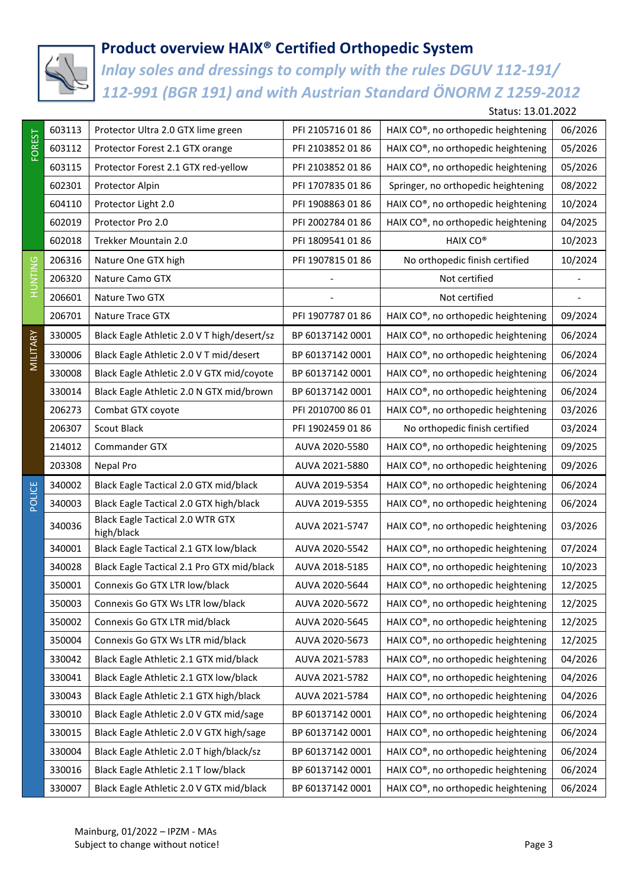

*Inlay soles and dressings to comply with the rules DGUV 112-191/ 112-991 (BGR 191) and with Austrian Standard ÖNORM Z 1259-2012*

Status: 13.01.2022

| <b>FOREST</b>   | 603113 | Protector Ultra 2.0 GTX lime green                    | PFI 2105716 01 86 | HAIX CO®, no orthopedic heightening | 06/2026 |
|-----------------|--------|-------------------------------------------------------|-------------------|-------------------------------------|---------|
|                 | 603112 | Protector Forest 2.1 GTX orange                       | PFI 2103852 01 86 | HAIX CO®, no orthopedic heightening | 05/2026 |
|                 | 603115 | Protector Forest 2.1 GTX red-yellow                   | PFI 2103852 01 86 | HAIX CO®, no orthopedic heightening | 05/2026 |
|                 | 602301 | Protector Alpin                                       | PFI 1707835 01 86 | Springer, no orthopedic heightening | 08/2022 |
|                 | 604110 | Protector Light 2.0                                   | PFI 1908863 01 86 | HAIX CO®, no orthopedic heightening | 10/2024 |
|                 | 602019 | Protector Pro 2.0                                     | PFI 2002784 01 86 | HAIX CO®, no orthopedic heightening | 04/2025 |
|                 | 602018 | Trekker Mountain 2.0                                  | PFI 1809541 01 86 | HAIX CO <sup>®</sup>                | 10/2023 |
| <b>ONITINUT</b> | 206316 | Nature One GTX high                                   | PFI 1907815 01 86 | No orthopedic finish certified      | 10/2024 |
|                 | 206320 | Nature Camo GTX                                       |                   | Not certified                       |         |
|                 | 206601 | Nature Two GTX                                        |                   | Not certified                       |         |
|                 | 206701 | Nature Trace GTX                                      | PFI 1907787 01 86 | HAIX CO®, no orthopedic heightening | 09/2024 |
|                 | 330005 | Black Eagle Athletic 2.0 V T high/desert/sz           | BP 60137142 0001  | HAIX CO®, no orthopedic heightening | 06/2024 |
| MILITARY        | 330006 | Black Eagle Athletic 2.0 V T mid/desert               | BP 60137142 0001  | HAIX CO®, no orthopedic heightening | 06/2024 |
|                 | 330008 | Black Eagle Athletic 2.0 V GTX mid/coyote             | BP 60137142 0001  | HAIX CO®, no orthopedic heightening | 06/2024 |
|                 | 330014 | Black Eagle Athletic 2.0 N GTX mid/brown              | BP 60137142 0001  | HAIX CO®, no orthopedic heightening | 06/2024 |
|                 | 206273 | Combat GTX coyote                                     | PFI 2010700 86 01 | HAIX CO®, no orthopedic heightening | 03/2026 |
|                 | 206307 | Scout Black                                           | PFI 1902459 01 86 | No orthopedic finish certified      | 03/2024 |
|                 | 214012 | Commander GTX                                         | AUVA 2020-5580    | HAIX CO®, no orthopedic heightening | 09/2025 |
|                 | 203308 | Nepal Pro                                             | AUVA 2021-5880    | HAIX CO®, no orthopedic heightening | 09/2026 |
|                 | 340002 | Black Eagle Tactical 2.0 GTX mid/black                | AUVA 2019-5354    | HAIX CO®, no orthopedic heightening | 06/2024 |
| POLICE          | 340003 | Black Eagle Tactical 2.0 GTX high/black               | AUVA 2019-5355    | HAIX CO®, no orthopedic heightening | 06/2024 |
|                 | 340036 | <b>Black Eagle Tactical 2.0 WTR GTX</b><br>high/black | AUVA 2021-5747    | HAIX CO®, no orthopedic heightening | 03/2026 |
|                 | 340001 | Black Eagle Tactical 2.1 GTX low/black                | AUVA 2020-5542    | HAIX CO®, no orthopedic heightening | 07/2024 |
|                 | 340028 | Black Eagle Tactical 2.1 Pro GTX mid/black            | AUVA 2018-5185    | HAIX CO®, no orthopedic heightening | 10/2023 |
|                 | 350001 | Connexis Go GTX LTR low/black                         | AUVA 2020-5644    | HAIX CO®, no orthopedic heightening | 12/2025 |
|                 | 350003 | Connexis Go GTX Ws LTR low/black                      | AUVA 2020-5672    | HAIX CO®, no orthopedic heightening | 12/2025 |
|                 | 350002 | Connexis Go GTX LTR mid/black                         | AUVA 2020-5645    | HAIX CO®, no orthopedic heightening | 12/2025 |
|                 | 350004 | Connexis Go GTX Ws LTR mid/black                      | AUVA 2020-5673    | HAIX CO®, no orthopedic heightening | 12/2025 |
|                 | 330042 | Black Eagle Athletic 2.1 GTX mid/black                | AUVA 2021-5783    | HAIX CO®, no orthopedic heightening | 04/2026 |
|                 | 330041 | Black Eagle Athletic 2.1 GTX low/black                | AUVA 2021-5782    | HAIX CO®, no orthopedic heightening | 04/2026 |
|                 | 330043 | Black Eagle Athletic 2.1 GTX high/black               | AUVA 2021-5784    | HAIX CO®, no orthopedic heightening | 04/2026 |
|                 | 330010 | Black Eagle Athletic 2.0 V GTX mid/sage               | BP 60137142 0001  | HAIX CO®, no orthopedic heightening | 06/2024 |
|                 | 330015 | Black Eagle Athletic 2.0 V GTX high/sage              | BP 60137142 0001  | HAIX CO®, no orthopedic heightening | 06/2024 |
|                 | 330004 | Black Eagle Athletic 2.0 T high/black/sz              | BP 60137142 0001  | HAIX CO®, no orthopedic heightening | 06/2024 |
|                 | 330016 | Black Eagle Athletic 2.1 T low/black                  | BP 60137142 0001  | HAIX CO®, no orthopedic heightening | 06/2024 |
|                 | 330007 | Black Eagle Athletic 2.0 V GTX mid/black              | BP 60137142 0001  | HAIX CO®, no orthopedic heightening | 06/2024 |